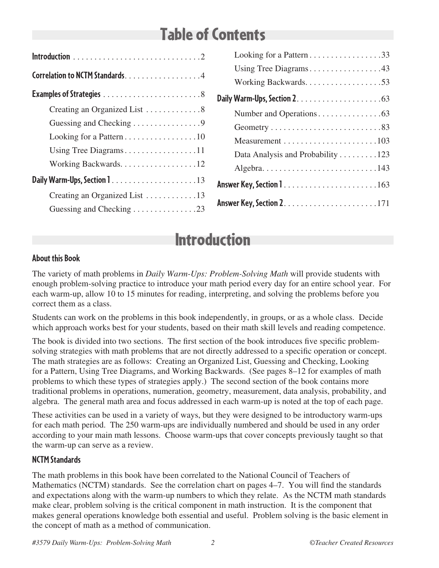# Table of Contents

| Correlation to NCTM Standards. 4 |
|----------------------------------|
|                                  |
|                                  |
| Guessing and Checking 9          |
|                                  |
| Using Tree Diagrams11            |
| Working Backwards. 12            |
|                                  |
| Creating an Organized List 13    |
| Guessing and Checking 23         |

| Looking for a Pattern 33                                           |  |  |  |  |
|--------------------------------------------------------------------|--|--|--|--|
| Using Tree Diagrams43                                              |  |  |  |  |
|                                                                    |  |  |  |  |
|                                                                    |  |  |  |  |
|                                                                    |  |  |  |  |
|                                                                    |  |  |  |  |
| Measurement $\ldots \ldots \ldots \ldots \ldots \ldots \ldots 103$ |  |  |  |  |
| Data Analysis and Probability 123                                  |  |  |  |  |
|                                                                    |  |  |  |  |
| <b>Answer Key, Section 1</b> 163                                   |  |  |  |  |
|                                                                    |  |  |  |  |

# Introduction

## **About this Book**

The variety of math problems in *Daily Warm-Ups: Problem-Solving Math* will provide students with enough problem-solving practice to introduce your math period every day for an entire school year. For each warm-up, allow 10 to 15 minutes for reading, interpreting, and solving the problems before you correct them as a class.

Students can work on the problems in this book independently, in groups, or as a whole class. Decide which approach works best for your students, based on their math skill levels and reading competence.

The book is divided into two sections. The first section of the book introduces five specific problemsolving strategies with math problems that are not directly addressed to a specific operation or concept. The math strategies are as follows: Creating an Organized List, Guessing and Checking, Looking for a Pattern, Using Tree Diagrams, and Working Backwards. (See pages 8–12 for examples of math problems to which these types of strategies apply.) The second section of the book contains more traditional problems in operations, numeration, geometry, measurement, data analysis, probability, and algebra. The general math area and focus addressed in each warm-up is noted at the top of each page.

These activities can be used in a variety of ways, but they were designed to be introductory warm-ups for each math period. The 250 warm-ups are individually numbered and should be used in any order according to your main math lessons. Choose warm-ups that cover concepts previously taught so that the warm-up can serve as a review.

### **NCTM Standards**

The math problems in this book have been correlated to the National Council of Teachers of Mathematics (NCTM) standards. See the correlation chart on pages 4–7. You will find the standards and expectations along with the warm-up numbers to which they relate. As the NCTM math standards make clear, problem solving is the critical component in math instruction. It is the component that makes general operations knowledge both essential and useful. Problem solving is the basic element in the concept of math as a method of communication.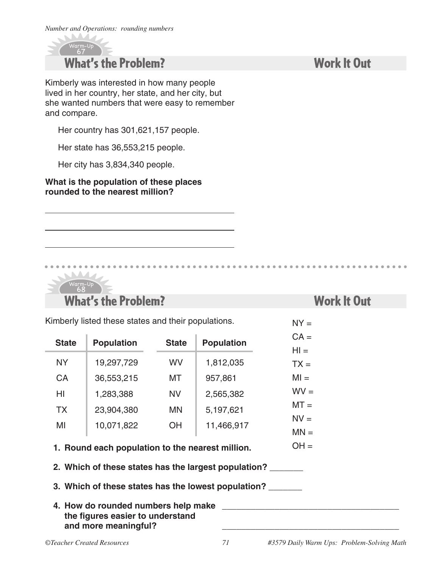

Kimberly was interested in how many people lived in her country, her state, and her city, but she wanted numbers that were easy to remember and compare.

Her country has 301,621,157 people.

Her state has 36,553,215 people.

Her city has 3,834,340 people.

### **What is the population of these places rounded to the nearest million?**

## What's the Problem? Work It Out 68

Warm-Up

 $NY =$ 

Kimberly listed these states and their populations.

| <b>State</b> | <b>Population</b> | <b>State</b> | <b>Population</b> | $CA =$<br>$HI =$ |
|--------------|-------------------|--------------|-------------------|------------------|
| <b>NY</b>    | 19,297,729        | <b>WV</b>    | 1,812,035         | $TX =$           |
| <b>CA</b>    | 36,553,215        | МT           | 957,861           | $MI =$           |
| HI           | 1,283,388         | <b>NV</b>    | 2,565,382         | $WV =$           |
| <b>TX</b>    | 23,904,380        | <b>MN</b>    | 5,197,621         | $MT =$           |
| ΜI           | 10,071,822        | <b>OH</b>    | 11,466,917        | $N =$            |
|              |                   |              |                   | $MN =$           |

- **1. Round each population to the nearest million.**  $OH =$
- **2. Which of these states has the largest population? \_\_\_\_\_\_\_**
- **3. Which of these states has the lowest population? \_\_\_\_\_\_\_**
- **4. How do rounded numbers help make \_\_\_\_\_\_\_\_\_\_\_\_\_\_\_\_\_\_\_\_\_\_\_\_\_\_\_\_\_\_\_\_\_\_\_\_\_ the figures easier to understand**  and more meaningful?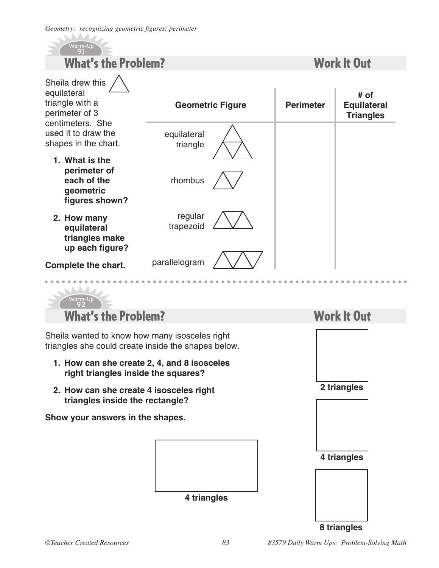

 $\mathbf{L}$ 

What's the Problem?

## Work It Out

| Sheila drew this<br>equilateral<br>triangle with a<br>perimeter of 3<br>centimeters. She | <b>Geometric Figure</b> |  | <b>Perimeter</b> | # of<br><b>Equilateral</b><br><b>Triangles</b> |
|------------------------------------------------------------------------------------------|-------------------------|--|------------------|------------------------------------------------|
| used it to draw the<br>shapes in the chart.                                              | equilateral<br>triangle |  |                  |                                                |
| 1. What is the<br>perimeter of<br>each of the<br>geometric<br>figures shown?             | rhombus                 |  |                  |                                                |
| 2. How many<br>equilateral<br>triangles make                                             | regular<br>trapezoid    |  |                  |                                                |
| up each figure?<br>Complete the chart.                                                   | parallelogram           |  |                  |                                                |

## What's the Problem? 92

Warm-Up

Sheila wanted to know how many isosceles right triangles she could create inside the shapes below.

- **1. How can she create 2, 4, and 8 isosceles right triangles inside the squares?**
- **2. How can she create 4 isosceles right triangles inside the rectangle?**

**Show your answers in the shapes.**





**8 triangles**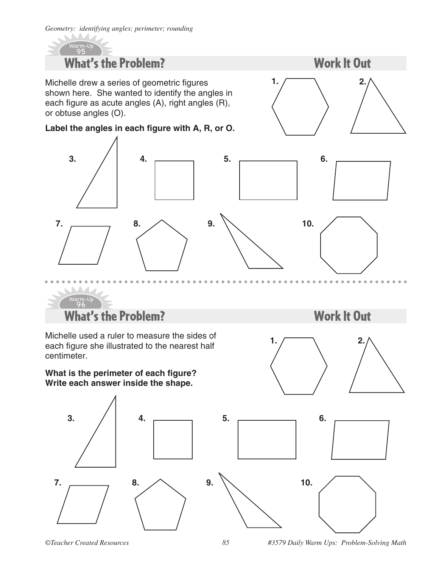## What's the Problem? 95

Warm-Up

Michelle drew a series of geometric figures shown here. She wanted to identify the angles in each figure as acute angles (A), right angles (R), or obtuse angles (O).

## **Label the angles in each figure with A, R, or O.**



## What's the Problem? <u>96</u>

Michelle used a ruler to measure the sides of each figure she illustrated to the nearest half centimeter.







Work It Out

Work It Out

**1.**  $\sqrt{2}$  **2.**